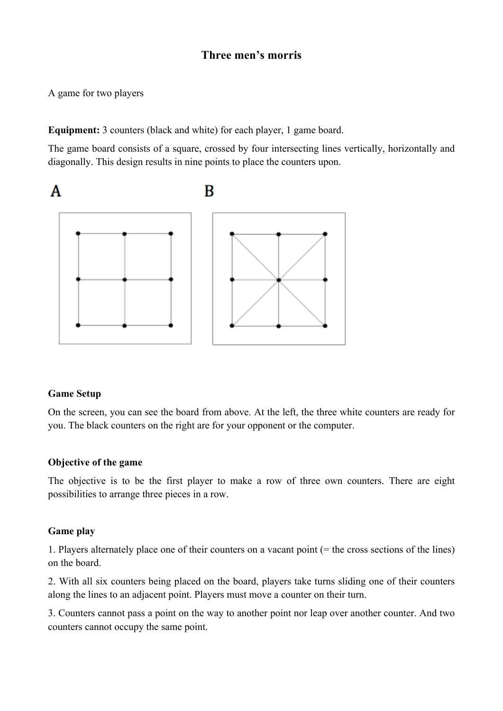# **Three men's morris**

A game for two players

**Equipment:** 3 counters (black and white) for each player, 1 game board.

The game board consists of a square, crossed by four intersecting lines vertically, horizontally and diagonally. This design results in nine points to place the counters upon.



#### **Game Setup**

On the screen, you can see the board from above. At the left, the three white counters are ready for you. The black counters on the right are for your opponent or the computer.

#### **Objective of the game**

The objective is to be the first player to make a row of three own counters. There are eight possibilities to arrange three pieces in a row.

#### **Game play**

1. Players alternately place one of their counters on a vacant point (= the cross sections of the lines) on the board.

2. With all six counters being placed on the board, players take turns sliding one of their counters along the lines to an adjacent point. Players must move a counter on their turn.

3. Counters cannot pass a point on the way to another point nor leap over another counter. And two counters cannot occupy the same point.